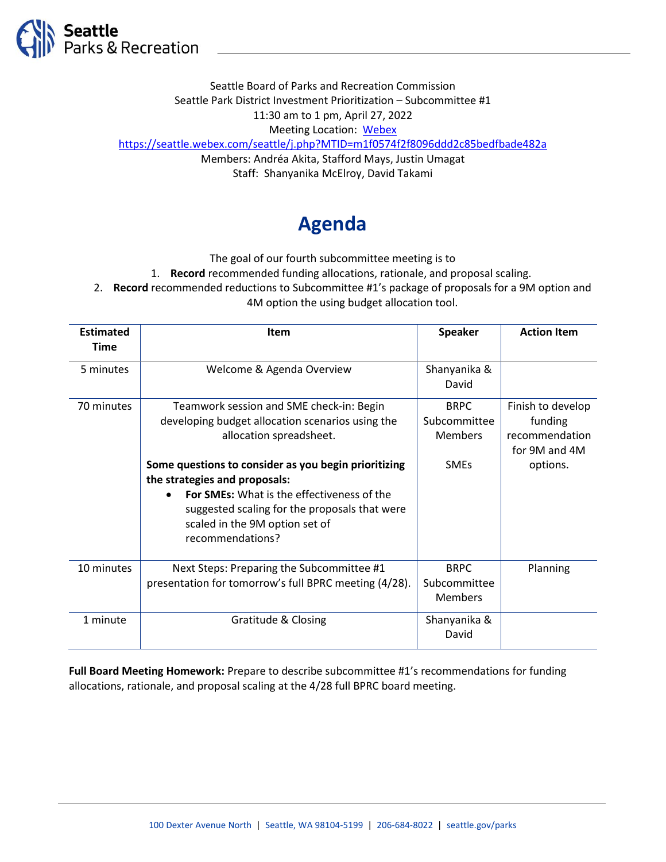

Seattle Board of Parks and Recreation Commission Seattle Park District Investment Prioritization – Subcommittee #1 11:30 am to 1 pm, April 27, 2022 Meeting Location: [Webex](https://seattle.webex.com/seattle/j.php?MTID=m1f0574f2f8096ddd2c85bedfbade482a) https://seattle.webex.com/seattle/j.php?MTID=m1f0574f2f8096ddd2c85bedfbade482a Members: Andréa Akita, Stafford Mays, Justin Umagat Staff: Shanyanika McElroy, David Takami

## **Agenda**

The goal of our fourth subcommittee meeting is to

1. **Record** recommended funding allocations, rationale, and proposal scaling.

2. **Record** recommended reductions to Subcommittee #1's package of proposals for a 9M option and

4M option the using budget allocation tool.

| <b>Estimated</b> | <b>Item</b>                                           | <b>Speaker</b> | <b>Action Item</b> |
|------------------|-------------------------------------------------------|----------------|--------------------|
| <b>Time</b>      |                                                       |                |                    |
| 5 minutes        | Welcome & Agenda Overview                             | Shanyanika &   |                    |
|                  |                                                       | David          |                    |
| 70 minutes       | Teamwork session and SME check-in: Begin              | <b>BRPC</b>    | Finish to develop  |
|                  | developing budget allocation scenarios using the      | Subcommittee   | funding            |
|                  | allocation spreadsheet.                               | <b>Members</b> | recommendation     |
|                  |                                                       |                | for 9M and 4M      |
|                  | Some questions to consider as you begin prioritizing  | <b>SMEs</b>    | options.           |
|                  | the strategies and proposals:                         |                |                    |
|                  | <b>For SMEs:</b> What is the effectiveness of the     |                |                    |
|                  | suggested scaling for the proposals that were         |                |                    |
|                  | scaled in the 9M option set of                        |                |                    |
|                  | recommendations?                                      |                |                    |
| 10 minutes       | Next Steps: Preparing the Subcommittee #1             | <b>BRPC</b>    | Planning           |
|                  | presentation for tomorrow's full BPRC meeting (4/28). | Subcommittee   |                    |
|                  |                                                       | <b>Members</b> |                    |
| 1 minute         | Gratitude & Closing                                   | Shanyanika &   |                    |
|                  |                                                       | David          |                    |

**Full Board Meeting Homework:** Prepare to describe subcommittee #1's recommendations for funding allocations, rationale, and proposal scaling at the 4/28 full BPRC board meeting.